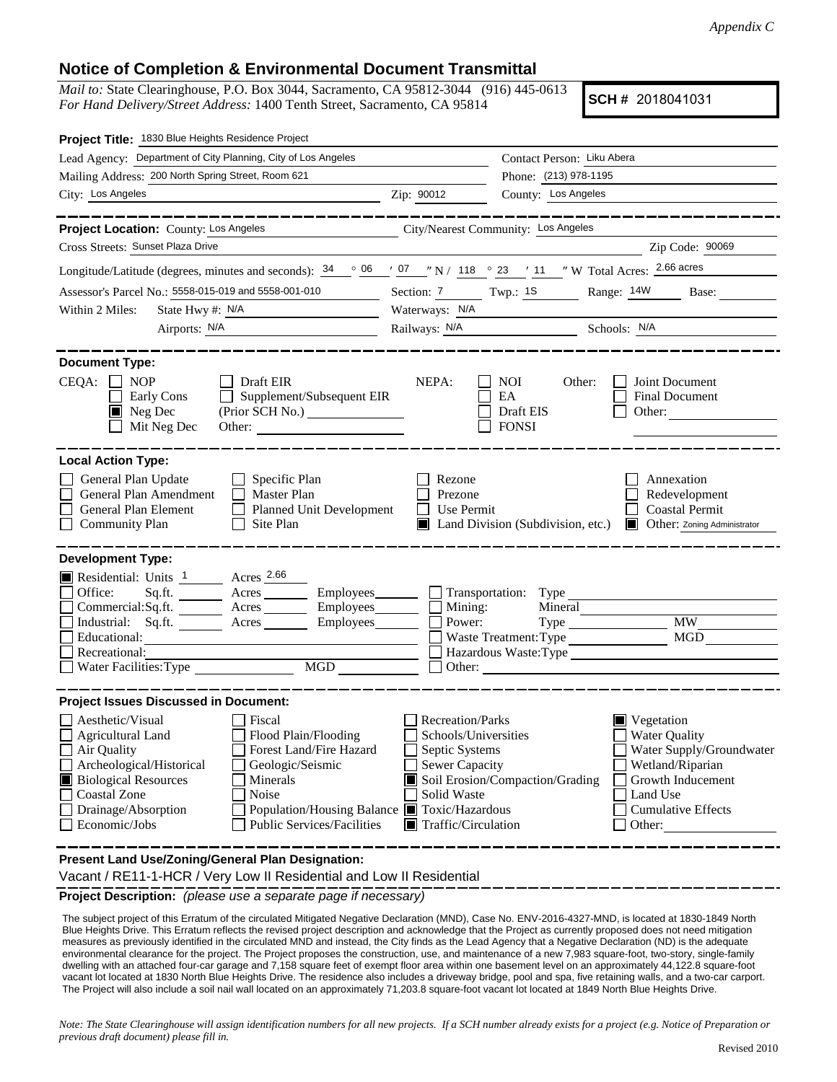## **Notice of Completion & Environmental Document Transmittal**

*Mail to:* State Clearinghouse, P.O. Box 3044, Sacramento, CA 95812-3044 (916) 445-0613 *For Hand Delivery/Street Address:* 1400 Tenth Street, Sacramento, CA 95814

**SCH #** 2018041031

| Project Title: 1830 Blue Heights Residence Project                                                                                                                                                                                                                                                                                                                                                                        |                                                                                                                                   |                                                                                                                                                                           |                                    |
|---------------------------------------------------------------------------------------------------------------------------------------------------------------------------------------------------------------------------------------------------------------------------------------------------------------------------------------------------------------------------------------------------------------------------|-----------------------------------------------------------------------------------------------------------------------------------|---------------------------------------------------------------------------------------------------------------------------------------------------------------------------|------------------------------------|
| Lead Agency: Department of City Planning, City of Los Angeles                                                                                                                                                                                                                                                                                                                                                             |                                                                                                                                   | Contact Person: Liku Abera                                                                                                                                                |                                    |
| Mailing Address: 200 North Spring Street, Room 621                                                                                                                                                                                                                                                                                                                                                                        |                                                                                                                                   | Phone: (213) 978-1195                                                                                                                                                     |                                    |
| City: Los Angeles                                                                                                                                                                                                                                                                                                                                                                                                         | Zip: 90012                                                                                                                        | County: Los Angeles                                                                                                                                                       |                                    |
|                                                                                                                                                                                                                                                                                                                                                                                                                           |                                                                                                                                   |                                                                                                                                                                           |                                    |
| Project Location: County: Los Angeles                                                                                                                                                                                                                                                                                                                                                                                     | City/Nearest Community: Los Angeles                                                                                               |                                                                                                                                                                           |                                    |
| Cross Streets: Sunset Plaza Drive                                                                                                                                                                                                                                                                                                                                                                                         |                                                                                                                                   |                                                                                                                                                                           | Zip Code: 90069                    |
| Longitude/Latitude (degrees, minutes and seconds): $\frac{34}{96}$ $\frac{06}{96}$ $\frac{7}{97}$ $\frac{07}{18}$ N / $\frac{118}{118}$ $\frac{0}{23}$ $\frac{23}{11}$ N Total Acres: $\frac{2.66 \text{ acres}}{230}$                                                                                                                                                                                                    |                                                                                                                                   |                                                                                                                                                                           |                                    |
| Assessor's Parcel No.: 5558-015-019 and 5558-001-010                                                                                                                                                                                                                                                                                                                                                                      |                                                                                                                                   | Section: 7 Twp.: 18 Range: 14W Base:                                                                                                                                      |                                    |
| State Hwy #: N/A<br>Within 2 Miles:                                                                                                                                                                                                                                                                                                                                                                                       | Waterways: N/A                                                                                                                    |                                                                                                                                                                           |                                    |
| Airports: N/A<br><u> 1989 - Johann Barbara, martin a</u>                                                                                                                                                                                                                                                                                                                                                                  |                                                                                                                                   | Railways: N/A Schools: N/A                                                                                                                                                |                                    |
| <b>Document Type:</b><br>$CEQA: \Box NOP$<br>$\Box$ Draft EIR<br>Supplement/Subsequent EIR<br>Early Cons<br>$\blacksquare$ Neg Dec<br>(Prior SCH No.) _______________<br>Mit Neg Dec                                                                                                                                                                                                                                      | NEPA:                                                                                                                             | Joint Document<br>NOI<br>Other:<br>EA<br>Final Document<br>Draft EIS<br>Other: $\qquad \qquad$<br><b>FONSI</b>                                                            |                                    |
| <b>Local Action Type:</b><br>General Plan Update<br>$\Box$ Specific Plan<br>General Plan Amendment<br>$\Box$ Master Plan<br><b>General Plan Element</b><br>Planned Unit Development<br><b>Community Plan</b><br>Site Plan                                                                                                                                                                                                 | Rezone<br>Prezone<br>Use Permit<br>$\perp$<br>Ш                                                                                   | Annexation<br>Redevelopment<br><b>Coastal Permit</b><br>Land Division (Subdivision, etc.)                                                                                 | <b>Other:</b> Zoning Administrator |
| <b>Development Type:</b><br>Residential: Units 1 Acres 2.66<br>Office:<br>Sq.ft. _________ Acres __________ Employees ________ ___ Transportation: Type _______<br>Commercial:Sq.ft. ________ Acres _________ Employees ________ $\Box$<br>Industrial: Sq.ft. _______ Acres ________ Employees________ $\Box$<br>Educational:<br>Recreational:<br>MGD NGD<br>Water Facilities: Type                                       | Mining:<br>Power:<br>$\perp$                                                                                                      | Mineral<br><b>MW</b><br>Waste Treatment: Type<br>Hazardous Waste:Type                                                                                                     | <b>MGD</b>                         |
| <b>Project Issues Discussed in Document:</b><br>Aesthetic/Visual<br>Fiscal<br>$\Box$ Agricultural Land<br>Flood Plain/Flooding<br>Forest Land/Fire Hazard<br>Air Quality<br>Archeological/Historical<br>Geologic/Seismic<br><b>Biological Resources</b><br>Minerals<br><b>Coastal Zone</b><br>Noise<br>Drainage/Absorption<br>Population/Housing Balance ■ Toxic/Hazardous<br>Economic/Jobs<br>Public Services/Facilities | Recreation/Parks<br>Schools/Universities<br>Septic Systems<br>Sewer Capacity<br>Solid Waste<br>$\blacksquare$ Traffic/Circulation | $\blacksquare$ Vegetation<br>Water Quality<br>Wetland/Riparian<br>Soil Erosion/Compaction/Grading<br>Growth Inducement<br>Land Use<br><b>Cumulative Effects</b><br>Other: | Water Supply/Groundwater           |
| Present Land Use/Zoning/General Plan Designation:                                                                                                                                                                                                                                                                                                                                                                         |                                                                                                                                   |                                                                                                                                                                           |                                    |

Vacant / RE11-1-HCR / Very Low II Residential and Low II Residential

**Project Description:** *(please use a separate page if necessary)*

The subject project of this Erratum of the circulated Mitigated Negative Declaration (MND), Case No. ENV-2016-4327-MND, is located at 1830-1849 North Blue Heights Drive. This Erratum reflects the revised project description and acknowledge that the Project as currently proposed does not need mitigation measures as previously identified in the circulated MND and instead, the City finds as the Lead Agency that a Negative Declaration (ND) is the adequate environmental clearance for the project. The Project proposes the construction, use, and maintenance of a new 7,983 square-foot, two-story, single-family dwelling with an attached four-car garage and 7,158 square feet of exempt floor area within one basement level on an approximately 44,122.8 square-foot vacant lot located at 1830 North Blue Heights Drive. The residence also includes a driveway bridge, pool and spa, five retaining walls, and a two-car carport. The Project will also include a soil nail wall located on an approximately 71,203.8 square-foot vacant lot located at 1849 North Blue Heights Drive.

*Note: The State Clearinghouse will assign identification numbers for all new projects. If a SCH number already exists for a project (e.g. Notice of Preparation or previous draft document) please fill in.*